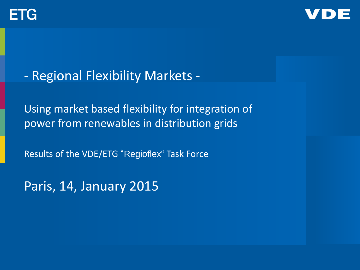



- Regional Flexibility Markets -

Using market based flexibility for integration of power from renewables in distribution grids

Results of the VDE/ETG "Regioflex" Task Force

Paris, 14, January 2015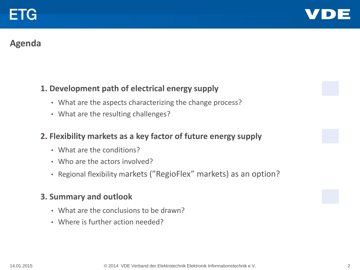

## **Agenda**

#### **1. Development path of electrical energy supply**

- What are the aspects characterizing the change process?
- What are the resulting challenges?

#### **2. Flexibility markets as a key factor of future energy supply**

- What are the conditions?
- Who are the actors involved?
- Regional flexibility markets ("RegioFlex" markets) as an option?

#### **3. Summary and outlook**

- What are the conclusions to be drawn?
- Where is further action needed?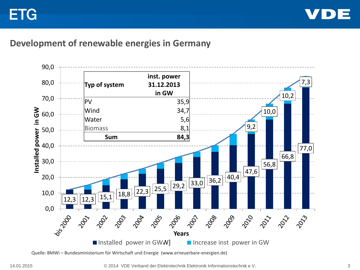

#### **Development of renewable energies in Germany**



Quelle: BMWi – Bundesministerium für Wirtschaft und Energie (www.erneuerbare-energien.de)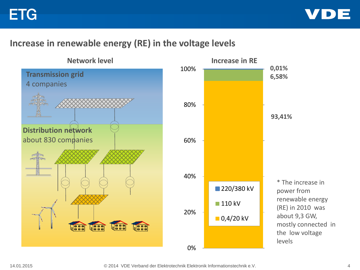

## **Increase in renewable energy (RE) in the voltage levels**



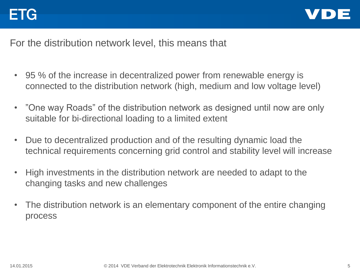

For the distribution network level, this means that

- 95 % of the increase in decentralized power from renewable energy is connected to the distribution network (high, medium and low voltage level)
- "One way Roads" of the distribution network as designed until now are only suitable for bi-directional loading to a limited extent
- Due to decentralized production and of the resulting dynamic load the technical requirements concerning grid control and stability level will increase
- High investments in the distribution network are needed to adapt to the changing tasks and new challenges
- The distribution network is an elementary component of the entire changing process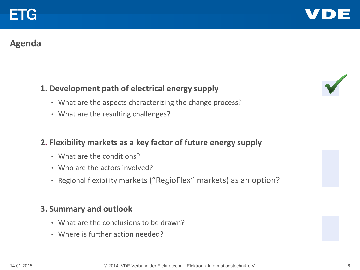

## **Agenda**

## **1. Development path of electrical energy supply**

- What are the aspects characterizing the change process?
- What are the resulting challenges?

#### **2. Flexibility markets as a key factor of future energy supply**

- What are the conditions?
- Who are the actors involved?
- Regional flexibility markets ("RegioFlex" markets) as an option?

#### **3. Summary and outlook**

- What are the conclusions to be drawn?
- Where is further action needed?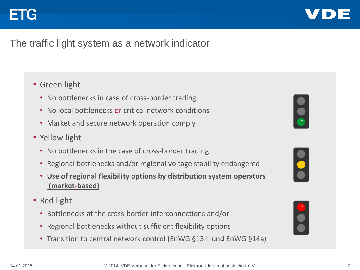

## The traffic light system as a network indicator

## **Green light**

- No bottlenecks in case of cross-border trading
- No local bottlenecks or critical network conditions
- Market and secure network operation comply
- **P** Yellow light
	- No bottlenecks in the case of cross-border trading
	- Regional bottlenecks and/or regional voltage stability endangered
	- **Use of regional flexibility options by distribution system operators (market-based)**
- Red light
	- Bottlenecks at the cross-border interconnections and/or
	- Regional bottlenecks without sufficient flexibility options
	- Transition to central network control (EnWG §13 II und EnWG §14a)





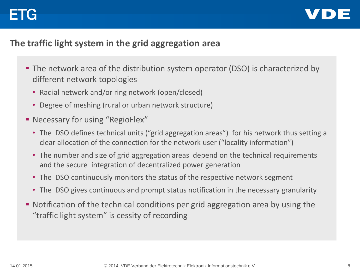# EIG



## **The traffic light system in the grid aggregation area**

- **The network area of the distribution system operator (DSO) is characterized by** different network topologies
	- Radial network and/or ring network (open/closed)
	- Degree of meshing (rural or urban network structure)
- **Necessary for using "RegioFlex"** 
	- The DSO defines technical units ("grid aggregation areas") for his network thus setting a clear allocation of the connection for the network user ("locality information")
	- The number and size of grid aggregation areas depend on the technical requirements and the secure integration of decentralized power generation
	- The DSO continuously monitors the status of the respective network segment
	- The DSO gives continuous and prompt status notification in the necessary granularity
- Notification of the technical conditions per grid aggregation area by using the "traffic light system" is cessity of recording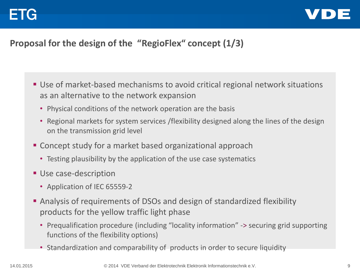

## **Proposal for the design of the "RegioFlex" concept (1/3)**

- Use of market-based mechanisms to avoid critical regional network situations as an alternative to the network expansion
	- Physical conditions of the network operation are the basis
	- Regional markets for system services /flexibility designed along the lines of the design on the transmission grid level
- Concept study for a market based organizational approach
	- Testing plausibility by the application of the use case systematics
- **Use case-description** 
	- Application of IEC 65559-2
- Analysis of requirements of DSOs and design of standardized flexibility products for the yellow traffic light phase
	- Prequalification procedure (including "locality information" -> securing grid supporting functions of the flexibility options)
	- Standardization and comparability of products in order to secure liquidity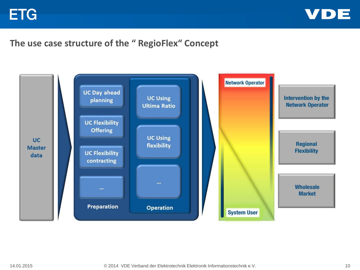

## **The use case structure of the " RegioFlex" Concept**

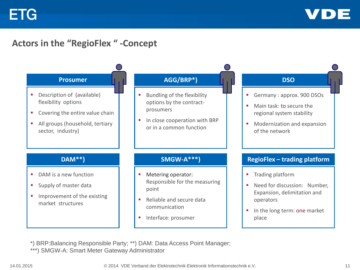![](_page_10_Picture_1.jpeg)

## **Actors in the "RegioFlex " -Concept**

![](_page_10_Figure_3.jpeg)

\*) BRP:Balancing Responsible Party; \*\*) DAM: Data Access Point Manager; \*\*\*) SMGW-A: Smart Meter Gateway Administrator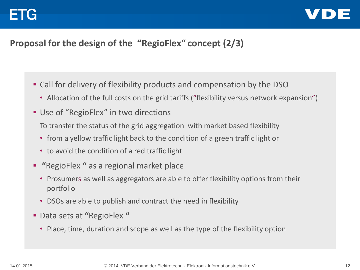![](_page_11_Picture_1.jpeg)

## **Proposal for the design of the "RegioFlex" concept (2/3)**

- Call for delivery of flexibility products and compensation by the DSO
	- Allocation of the full costs on the grid tariffs ("flexibility versus network expansion")
- Use of "RegioFlex" in two directions To transfer the status of the grid aggregation with market based flexibility
	- from a yellow traffic light back to the condition of a green traffic light or
	- to avoid the condition of a red traffic light
- **"**RegioFlex **"** as a regional market place
	- Prosumers as well as aggregators are able to offer flexibility options from their portfolio
	- DSOs are able to publish and contract the need in flexibility
- Data sets at **"**RegioFlex **"**
	- Place, time, duration and scope as well as the type of the flexibility option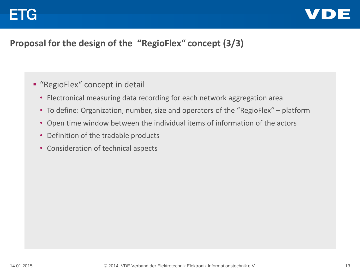![](_page_12_Picture_1.jpeg)

## **Proposal for the design of the "RegioFlex" concept (3/3)**

- **"** "RegioFlex" concept in detail
	- Electronical measuring data recording for each network aggregation area
	- To define: Organization, number, size and operators of the "RegioFlex" platform
	- Open time window between the individual items of information of the actors
	- Definition of the tradable products
	- Consideration of technical aspects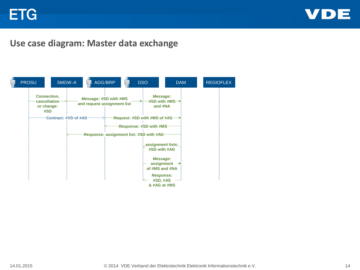![](_page_13_Picture_1.jpeg)

#### **Use case diagram: Master data exchange**

![](_page_13_Figure_3.jpeg)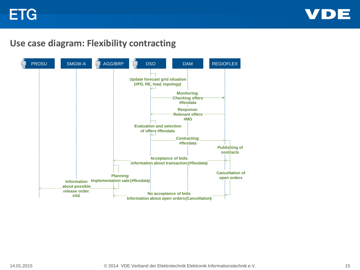![](_page_14_Picture_1.jpeg)

#### **Use case diagram: Flexibility contracting**

![](_page_14_Figure_3.jpeg)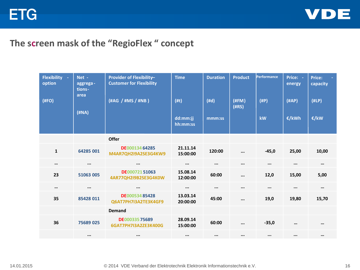![](_page_15_Picture_1.jpeg)

## **The screen mask of the "RegioFlex " concept**

| <b>Flexibility</b><br>$\sim$<br>option<br>(HFO) | Net -<br>aggrega-<br>tions-<br>area<br>(HNA) | Provider of Flexibility-<br><b>Customer for Flexibility</b><br>(#AG / #MS / #NB ) | <b>Time</b><br>(#t)<br>dd:mm:jj<br>hh:mm:ss | <b>Duration</b><br>(#d)<br>mmm:ss | <b>Product</b><br>(HFM)<br>(HRS) | <b>Performance</b><br>(HP)<br>kW | Price: -<br>energy<br>(HAP)<br>€/kWh | <b>Price:</b><br>capacity<br>(HLP)<br>€/kW |
|-------------------------------------------------|----------------------------------------------|-----------------------------------------------------------------------------------|---------------------------------------------|-----------------------------------|----------------------------------|----------------------------------|--------------------------------------|--------------------------------------------|
|                                                 |                                              | <b>Offer</b>                                                                      |                                             |                                   |                                  |                                  |                                      |                                            |
| $\mathbf{1}$                                    | 64285 001                                    | DE00013464285<br>M4AR7QH2I9A2SE3G4KW9                                             | 21.11.14<br>15:00:00                        | 120:00                            | $\cdots$                         | $-45,0$                          | 25,00                                | 10,00                                      |
| $\cdots$                                        | $\cdots$                                     | $\cdots$                                                                          | $\cdots$                                    | $\cdots$                          | $\cdots$                         | $\cdots$                         | $\cdots$                             | $\cdots$                                   |
| 23                                              | 51063 005                                    | DE00072151063<br>4AR77QH2I9B2SE3G4K0W                                             | 15.08.14<br>12:00:00                        | 60:00                             | $\cdots$                         | 12,0                             | 15,00                                | 5,00                                       |
| $\cdots$                                        | $\cdots$                                     | $\cdots$                                                                          | $\cdots$                                    | $\cdots$                          | $\cdots$                         | $\cdots$                         | $\cdots$                             | $\cdots$                                   |
| 35                                              | 85428 011                                    | DE00053485428<br>Q6AT7PH7I3A2TE3K4GF9                                             | 13.03.14<br>20:00:00                        | 45:00                             |                                  | 19,0                             | 19,80                                | 15,70                                      |
|                                                 |                                              | <b>Demand</b>                                                                     |                                             |                                   |                                  |                                  |                                      |                                            |
| 36                                              | 75689025                                     | DE00033575689<br>6GAT7PH7I3A2ZE3K400G                                             | 28.09.14<br>15:00:00                        | 60:00                             | $\cdots$                         | $-35,0$                          | $\cdots$                             | $\cdots$                                   |
|                                                 | $\cdots$                                     | $\cdots$                                                                          | $\cdots$                                    | $\cdots$                          | $\cdots$                         | $\cdots$                         | $\cdots$                             | $\cdots$                                   |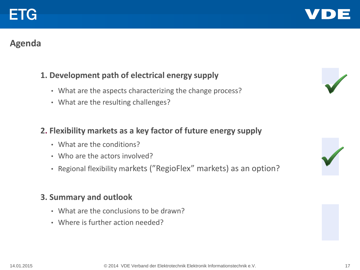## **Agenda**

ETG

## **1. Development path of electrical energy supply**

- What are the aspects characterizing the change process?
- What are the resulting challenges?

#### **2. Flexibility markets as a key factor of future energy supply**

- What are the conditions?
- Who are the actors involved?
- Regional flexibility markets ("RegioFlex" markets) as an option?

#### **3. Summary and outlook**

- What are the conclusions to be drawn?
- Where is further action needed?

![](_page_16_Picture_14.jpeg)

![](_page_16_Picture_15.jpeg)

![](_page_16_Picture_16.jpeg)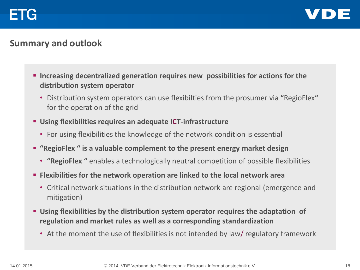![](_page_17_Picture_0.jpeg)

![](_page_17_Picture_1.jpeg)

## **Summary and outlook**

- **Increasing decentralized generation requires new possibilities for actions for the distribution system operator**
	- Distribution system operators can use flexibilties from the prosumer via **"**RegioFlex**"** for the operation of the grid
- **Using flexibilities requires an adequate ICT-infrastructure**
	- For using flexibilities the knowledge of the network condition is essential
- **"RegioFlex " is a valuable complement to the present energy market design**
	- **"RegioFlex "** enables a technologically neutral competition of possible flexibilities
- **Flexibilities for the network operation are linked to the local network area**
	- Critical network situations in the distribution network are regional (emergence and mitigation)
- **Using flexibilities by the distribution system operator requires the adaptation of regulation and market rules as well as a corresponding standardization**
	- At the moment the use of flexibilities is not intended by law/ regulatory framework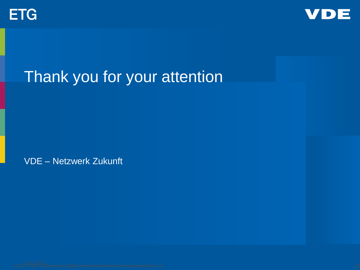![](_page_18_Picture_0.jpeg)

![](_page_18_Picture_1.jpeg)

# Thank you for your attention

VDE – Netzwerk Zukunft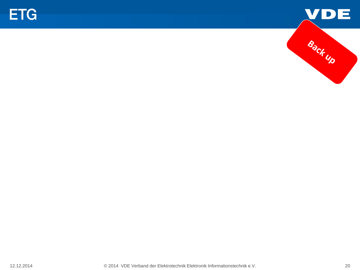![](_page_19_Picture_0.jpeg)

![](_page_19_Picture_1.jpeg)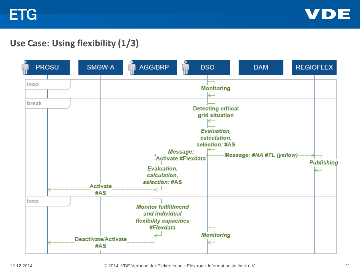![](_page_20_Picture_1.jpeg)

## **Use Case: Using flexibility (1/3)**

![](_page_20_Figure_3.jpeg)

12.12.2014 © 2014 VDE Verband der Elektrotechnik Elektronik Informationstechnik e.V. 21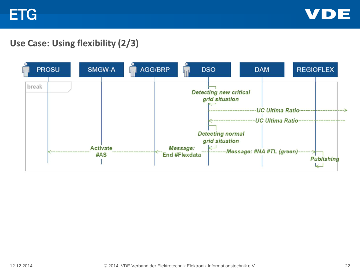![](_page_21_Picture_1.jpeg)

## **Use Case: Using flexibility (2/3)**

![](_page_21_Figure_3.jpeg)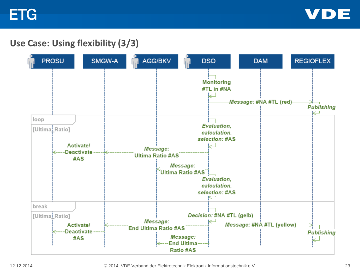![](_page_22_Picture_1.jpeg)

## **Use Case: Using flexibility (3/3)**

![](_page_22_Figure_3.jpeg)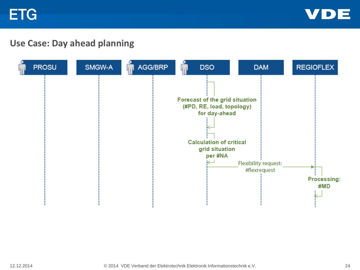![](_page_23_Picture_1.jpeg)

## **Use Case: Day ahead planning**

![](_page_23_Figure_3.jpeg)